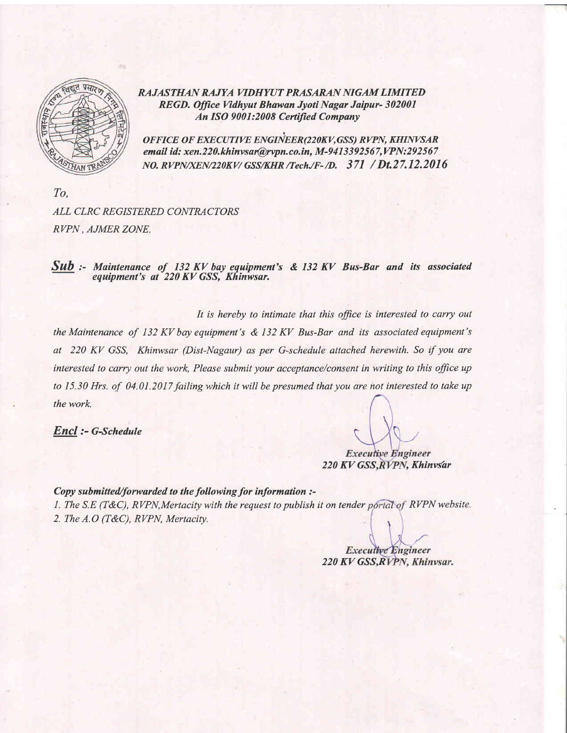

RAJASTHAN RAJYA VIDHYUT PRASARAN NIGAM LIMITED REGD. Office Vidhyut Bhawan Jyoti Nagar Jaipur- 302001 An ISO 9001:2008 Certijied Company

OFFICE OF EXECUTIVE ENGINEER(220KV, GSS) RVPN, KHINVSAR email id: xen.220.khinvsar@rvpn.co.in, M-9413392567,VPN:292567 NO. RVPN/XEN/220KV/ GSS/KHR /Tech./F-/D. 371 / Dt.27.12.2016

To, ALL CLRC REGISTERED CONTRACTORS RVPN . AJMER ZONE,

 $Sub$  :- Maintenance of 132 KV bay equipment's & 132 KV Bus-Bar and its associated equipment's at 220 KV GSS, Khinwsar.

It is hereby to intimate that this office is interested to carry out the Maintenance of 132 KV bay equipment's  $\&$  132 KV Bus-Bar and its associated equipment's at 220 KV GSS, Khinwsar (Dist-Nagaur) as per G-schedule attached herewith. So if you are interested to carry out the work, Please submit your acceptance/consent in writing to this office up to 15.30 Hrs. of 04.01.2017 failing which it will be presumed that you are not interested to take up the work.

Encl :- G-Schedule

**Executive Engineer** 220 KV GSS, RVPN, Khinvsar

Copy submitted/forwarded to the following for information :- 1. The S.E (T&C), RVPN, Mertacity with the request to publish it on tender portal of RVPN website. 2. The A.O (T&C), RVPN, Mertacity.

**Executive Engineer** 220 KV GSS, RVPN, Khinvsar.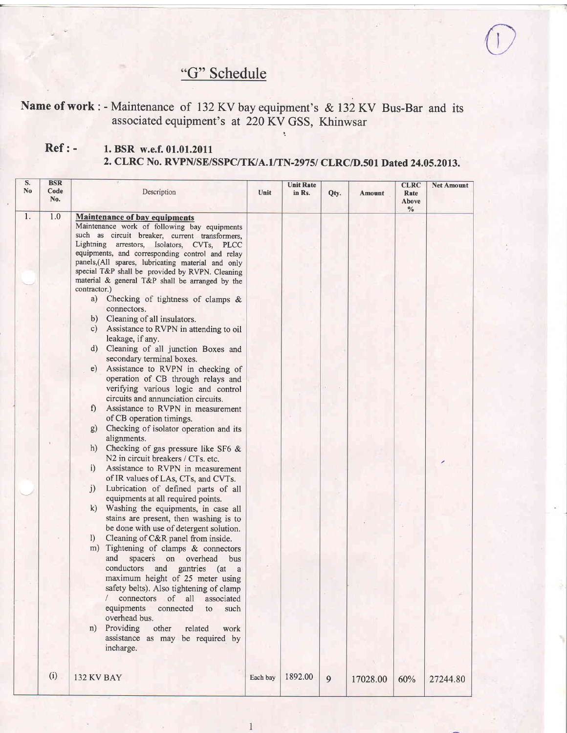## "G" Schedule

## Name of work: - Maintenance of 132 KV bay equipment's & 132 KV Bus-Bar and its associated equipment's at 220 KV GSS, Khinwsar

## Ref : - 1. BSR w.e.f. 01.01.2011 2. CLRC No. RVPN/SE/SSPC/TK/A.1/TN-2975/ CLRC/D.501 Dated 24.05.2013.

| S.<br>N <sub>o</sub> | <b>BSR</b><br>Code<br>No. | Description                                                                                                                                                                                                                                                                                                                                                                                                                                                                                                                                                                                                                                                                                                                                                                                                                                                                                                                                                                                                                                                                                                                                                                                                                                                                                                                                                                                                                                                                                                                                                                                                                                                                                                                                                                                         | Unit     | <b>Unit Rate</b><br>in Rs. | Qty. | <b>Amount</b> | <b>CLRC</b><br>Rate<br>Above | <b>Net Amount</b> |
|----------------------|---------------------------|-----------------------------------------------------------------------------------------------------------------------------------------------------------------------------------------------------------------------------------------------------------------------------------------------------------------------------------------------------------------------------------------------------------------------------------------------------------------------------------------------------------------------------------------------------------------------------------------------------------------------------------------------------------------------------------------------------------------------------------------------------------------------------------------------------------------------------------------------------------------------------------------------------------------------------------------------------------------------------------------------------------------------------------------------------------------------------------------------------------------------------------------------------------------------------------------------------------------------------------------------------------------------------------------------------------------------------------------------------------------------------------------------------------------------------------------------------------------------------------------------------------------------------------------------------------------------------------------------------------------------------------------------------------------------------------------------------------------------------------------------------------------------------------------------------|----------|----------------------------|------|---------------|------------------------------|-------------------|
| 1.                   | 1.0                       | <b>Maintenance of bay equipments</b><br>Maintenance work of following bay equipments<br>such as circuit breaker, current transformers,<br>Lightning arrestors, Isolators, CVTs, PLCC<br>equipments, and corresponding control and relay<br>panels,(All spares, lubricating material and only<br>special T&P shall be provided by RVPN. Cleaning<br>material & general T&P shall be arranged by the<br>contractor.)<br>Checking of tightness of clamps $\&$<br>a)<br>connectors.<br>Cleaning of all insulators.<br>b)<br>Assistance to RVPN in attending to oil<br>c)<br>leakage, if any.<br>Cleaning of all junction Boxes and<br>d)<br>secondary terminal boxes.<br>Assistance to RVPN in checking of<br>e)<br>operation of CB through relays and<br>verifying various logic and control<br>circuits and annunciation circuits.<br>Assistance to RVPN in measurement<br>$\mathbf{f}$<br>of CB operation timings.<br>Checking of isolator operation and its<br>g)<br>alignments.<br>Checking of gas pressure like SF6 &<br>h)<br>N2 in circuit breakers / CTs. etc.<br>i)<br>Assistance to RVPN in measurement<br>of IR values of LAs, CTs, and CVTs.<br>j)<br>Lubrication of defined parts of all<br>equipments at all required points.<br>k)<br>Washing the equipments, in case all<br>stains are present, then washing is to<br>be done with use of detergent solution.<br>Cleaning of C&R panel from inside.<br>$\left  \right $<br>m) Tightening of clamps & connectors<br>and<br>spacers on overhead<br>bus<br>conductors<br>and<br>gantries (at<br><sub>a</sub><br>maximum height of 25 meter using<br>safety belts). Also tightening of clamp<br>/ connectors of all<br>associated<br>equipments<br>connected<br>such<br>to<br>overhead bus.<br>Providing<br>other<br>related<br>work<br>n) |          |                            |      |               | $\%$                         |                   |
|                      | (i)                       | assistance as may be required by<br>incharge.                                                                                                                                                                                                                                                                                                                                                                                                                                                                                                                                                                                                                                                                                                                                                                                                                                                                                                                                                                                                                                                                                                                                                                                                                                                                                                                                                                                                                                                                                                                                                                                                                                                                                                                                                       |          | 1892.00                    |      |               |                              |                   |
|                      |                           | <b>132 KV BAY</b>                                                                                                                                                                                                                                                                                                                                                                                                                                                                                                                                                                                                                                                                                                                                                                                                                                                                                                                                                                                                                                                                                                                                                                                                                                                                                                                                                                                                                                                                                                                                                                                                                                                                                                                                                                                   | Each bay |                            | 9    | 17028.00      | 60%                          | 27244.80          |

 $\mathbf{1}$